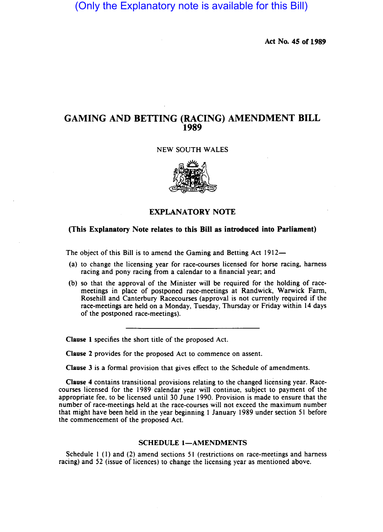# (Only the Explanatory note is available for this Bill)

Act No. 45 of 1989

## GAMING AND BETIING (RACING) AMENDMENT BILL 1989

### NEW SOUTH WALES



## EXPLANATORY NOTE

## (This Explanatory Note relates to this Bill as introduced into Parliament)

The object of this Bill is to amend the Gaming and Betting Act 1912-

- (a) to change the licensing year for race-courses licensed for horse racing, harness racing and pony racing from a calendar to a financial year; and
- (b) so that the approval of the Minister will be required for the holding of racemeetings in place of postponed race-meetings at Randwick, Warwick Farm, Rosehill and Canterbury Racecourses (approval is not currently required if the race-meetings are held on a Monday, Tuesday, Thursday or Friday within 14 days of the postponed race-meetings).

Clause I specifies the short title of the proposed Act.

Clause 2 provides for the proposed Act to commence on assent.

Clause 3 is a formal provision that gives effect to the Schedule of amendments.

Clause 4 contains transitional provisions relating to the changed licensing year. Racecourses licensed for the 1989 calendar year will continue, subject to payment of the appropriate fee, to be licensed until 30 June 1990. Provision is made to ensure that the number of race-meetings held at the race-courses will not exceed the maximum number that might have been held in the year beginning I January 1989 under section 51 before the commencement of the proposed Act.

#### SCHEDULE 1-AMENDMENTS

Schedule I (I) and (2) amend sections 51 (restrictions on race-meetings and harness racing) and 52 (issue of licences) to change the licensing year as mentioned above.